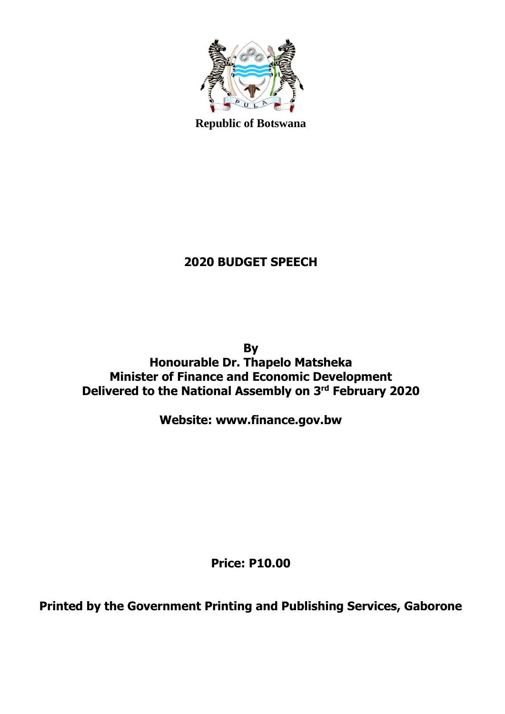

**Republic of Botswana**

# **2020 BUDGET SPEECH**

**By Honourable Dr. Thapelo Matsheka Minister of Finance and Economic Development Delivered to the National Assembly on 3 rd February 2020**

**Website: www.finance.gov.bw**

**Price: P10.00**

**Printed by the Government Printing and Publishing Services, Gaborone**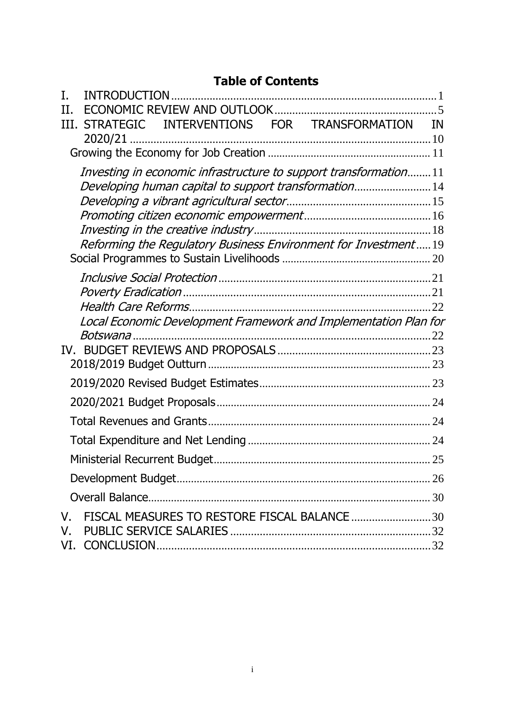#### **Table of Contents**

| T.  | <b>INTRODUCTION</b>                                              |           |
|-----|------------------------------------------------------------------|-----------|
| H.  |                                                                  |           |
| TH. | INTERVENTIONS FOR TRANSFORMATION<br><b>STRATEGIC</b>             | <b>IN</b> |
|     |                                                                  |           |
|     |                                                                  |           |
|     | Investing in economic infrastructure to support transformation11 |           |
|     | Developing human capital to support transformation14             |           |
|     |                                                                  |           |
|     |                                                                  |           |
|     |                                                                  |           |
|     | Reforming the Regulatory Business Environment for Investment19   |           |
|     |                                                                  |           |
|     |                                                                  |           |
|     |                                                                  |           |
|     | Local Economic Development Framework and Implementation Plan for |           |
|     | <i>Botswana</i>                                                  |           |
| IV. |                                                                  |           |
|     |                                                                  |           |
|     |                                                                  |           |
|     |                                                                  |           |
|     |                                                                  |           |
|     |                                                                  |           |
|     |                                                                  |           |
|     |                                                                  |           |
|     |                                                                  |           |
| V.  | FISCAL MEASURES TO RESTORE FISCAL BALANCE 30                     |           |
| V.  |                                                                  |           |
|     |                                                                  |           |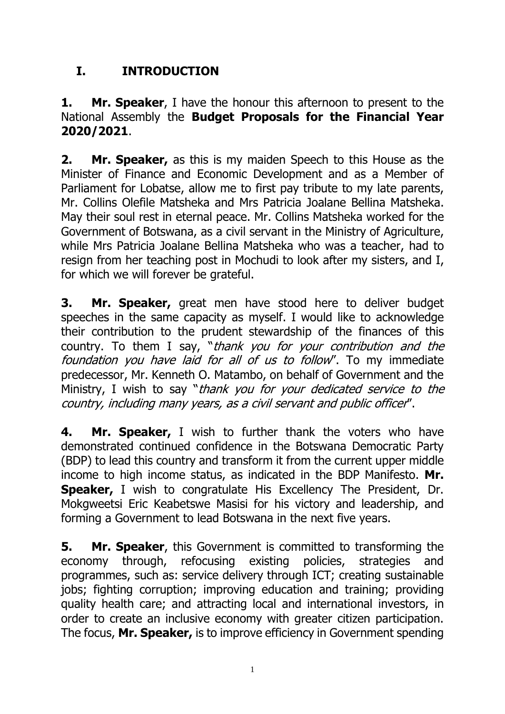# <span id="page-2-0"></span>**I. INTRODUCTION**

#### **1. Mr. Speaker**, I have the honour this afternoon to present to the National Assembly the **Budget Proposals for the Financial Year 2020/2021**.

**2. Mr. Speaker,** as this is my maiden Speech to this House as the Minister of Finance and Economic Development and as a Member of Parliament for Lobatse, allow me to first pay tribute to my late parents, Mr. Collins Olefile Matsheka and Mrs Patricia Joalane Bellina Matsheka. May their soul rest in eternal peace. Mr. Collins Matsheka worked for the Government of Botswana, as a civil servant in the Ministry of Agriculture, while Mrs Patricia Joalane Bellina Matsheka who was a teacher, had to resign from her teaching post in Mochudi to look after my sisters, and I, for which we will forever be grateful.

**3. Mr. Speaker,** great men have stood here to deliver budget speeches in the same capacity as myself. I would like to acknowledge their contribution to the prudent stewardship of the finances of this country. To them I say, "thank you for your contribution and the foundation you have laid for all of us to follow". To my immediate predecessor, Mr. Kenneth O. Matambo, on behalf of Government and the Ministry, I wish to say "thank you for your dedicated service to the country, including many years, as a civil servant and public officer".

**4. Mr. Speaker,** I wish to further thank the voters who have demonstrated continued confidence in the Botswana Democratic Party (BDP) to lead this country and transform it from the current upper middle income to high income status, as indicated in the BDP Manifesto. **Mr. Speaker,** I wish to congratulate His Excellency The President, Dr. Mokgweetsi Eric Keabetswe Masisi for his victory and leadership, and forming a Government to lead Botswana in the next five years.

**5. Mr. Speaker**, this Government is committed to transforming the economy through, refocusing existing policies, strategies and programmes, such as: service delivery through ICT; creating sustainable jobs; fighting corruption; improving education and training; providing quality health care; and attracting local and international investors, in order to create an inclusive economy with greater citizen participation. The focus, **Mr. Speaker,** is to improve efficiency in Government spending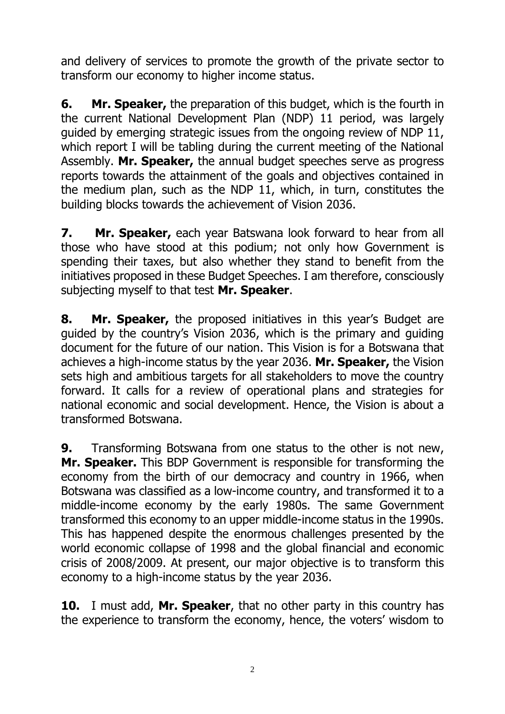and delivery of services to promote the growth of the private sector to transform our economy to higher income status.

**6. Mr. Speaker,** the preparation of this budget, which is the fourth in the current National Development Plan (NDP) 11 period, was largely guided by emerging strategic issues from the ongoing review of NDP 11, which report I will be tabling during the current meeting of the National Assembly. **Mr. Speaker,** the annual budget speeches serve as progress reports towards the attainment of the goals and objectives contained in the medium plan, such as the NDP 11, which, in turn, constitutes the building blocks towards the achievement of Vision 2036.

**7. Mr. Speaker,** each year Batswana look forward to hear from all those who have stood at this podium; not only how Government is spending their taxes, but also whether they stand to benefit from the initiatives proposed in these Budget Speeches. I am therefore, consciously subjecting myself to that test **Mr. Speaker**.

**8. Mr. Speaker,** the proposed initiatives in this year's Budget are guided by the country's Vision 2036, which is the primary and guiding document for the future of our nation. This Vision is for a Botswana that achieves a high-income status by the year 2036. **Mr. Speaker,** the Vision sets high and ambitious targets for all stakeholders to move the country forward. It calls for a review of operational plans and strategies for national economic and social development. Hence, the Vision is about a transformed Botswana.

**9.** Transforming Botswana from one status to the other is not new, **Mr. Speaker.** This BDP Government is responsible for transforming the economy from the birth of our democracy and country in 1966, when Botswana was classified as a low-income country, and transformed it to a middle-income economy by the early 1980s. The same Government transformed this economy to an upper middle-income status in the 1990s. This has happened despite the enormous challenges presented by the world economic collapse of 1998 and the global financial and economic crisis of 2008/2009. At present, our major objective is to transform this economy to a high-income status by the year 2036.

**10.** I must add, **Mr. Speaker**, that no other party in this country has the experience to transform the economy, hence, the voters' wisdom to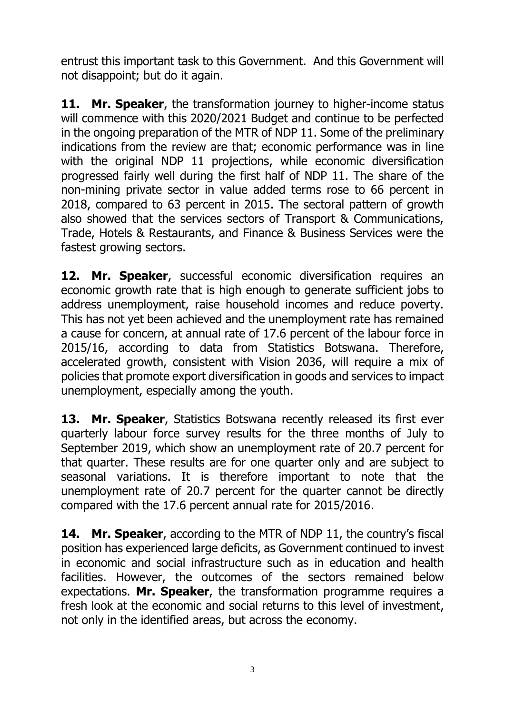entrust this important task to this Government. And this Government will not disappoint; but do it again.

**11. Mr. Speaker**, the transformation journey to higher-income status will commence with this 2020/2021 Budget and continue to be perfected in the ongoing preparation of the MTR of NDP 11. Some of the preliminary indications from the review are that; economic performance was in line with the original NDP 11 projections, while economic diversification progressed fairly well during the first half of NDP 11. The share of the non-mining private sector in value added terms rose to 66 percent in 2018, compared to 63 percent in 2015. The sectoral pattern of growth also showed that the services sectors of Transport & Communications, Trade, Hotels & Restaurants, and Finance & Business Services were the fastest growing sectors.

**12. Mr. Speaker**, successful economic diversification requires an economic growth rate that is high enough to generate sufficient jobs to address unemployment, raise household incomes and reduce poverty. This has not yet been achieved and the unemployment rate has remained a cause for concern, at annual rate of 17.6 percent of the labour force in 2015/16, according to data from Statistics Botswana. Therefore, accelerated growth, consistent with Vision 2036, will require a mix of policies that promote export diversification in goods and services to impact unemployment, especially among the youth.

**13. Mr. Speaker**, Statistics Botswana recently released its first ever quarterly labour force survey results for the three months of July to September 2019, which show an unemployment rate of 20.7 percent for that quarter. These results are for one quarter only and are subject to seasonal variations. It is therefore important to note that the unemployment rate of 20.7 percent for the quarter cannot be directly compared with the 17.6 percent annual rate for 2015/2016.

**14. Mr. Speaker**, according to the MTR of NDP 11, the country's fiscal position has experienced large deficits, as Government continued to invest in economic and social infrastructure such as in education and health facilities. However, the outcomes of the sectors remained below expectations. **Mr. Speaker**, the transformation programme requires a fresh look at the economic and social returns to this level of investment, not only in the identified areas, but across the economy.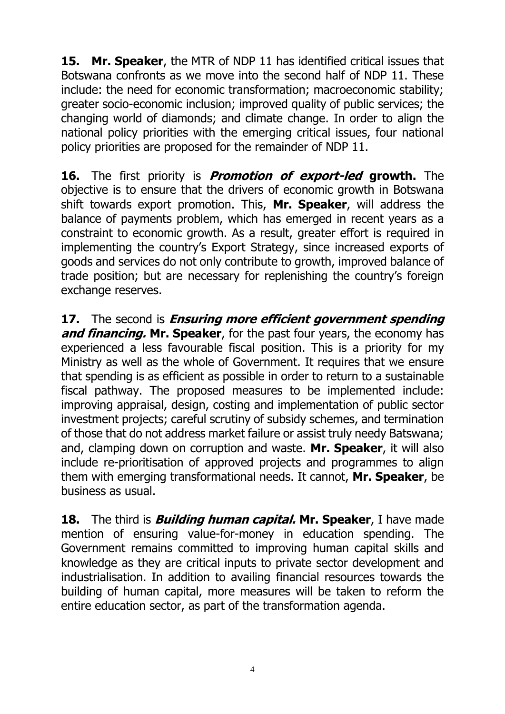**15. Mr. Speaker**, the MTR of NDP 11 has identified critical issues that Botswana confronts as we move into the second half of NDP 11. These include: the need for economic transformation; macroeconomic stability; greater socio-economic inclusion; improved quality of public services; the changing world of diamonds; and climate change. In order to align the national policy priorities with the emerging critical issues, four national policy priorities are proposed for the remainder of NDP 11.

**16.** The first priority is **Promotion of export-led growth.** The objective is to ensure that the drivers of economic growth in Botswana shift towards export promotion. This, **Mr. Speaker**, will address the balance of payments problem, which has emerged in recent years as a constraint to economic growth. As a result, greater effort is required in implementing the country's Export Strategy, since increased exports of goods and services do not only contribute to growth, improved balance of trade position; but are necessary for replenishing the country's foreign exchange reserves.

**17.** The second is **Ensuring more efficient government spending and financing. Mr. Speaker**, for the past four years, the economy has experienced a less favourable fiscal position. This is a priority for my Ministry as well as the whole of Government. It requires that we ensure that spending is as efficient as possible in order to return to a sustainable fiscal pathway. The proposed measures to be implemented include: improving appraisal, design, costing and implementation of public sector investment projects; careful scrutiny of subsidy schemes, and termination of those that do not address market failure or assist truly needy Batswana; and, clamping down on corruption and waste. **Mr. Speaker**, it will also include re-prioritisation of approved projects and programmes to align them with emerging transformational needs. It cannot, **Mr. Speaker**, be business as usual.

**18.** The third is **Building human capital. Mr. Speaker**, I have made mention of ensuring value-for-money in education spending. The Government remains committed to improving human capital skills and knowledge as they are critical inputs to private sector development and industrialisation. In addition to availing financial resources towards the building of human capital, more measures will be taken to reform the entire education sector, as part of the transformation agenda.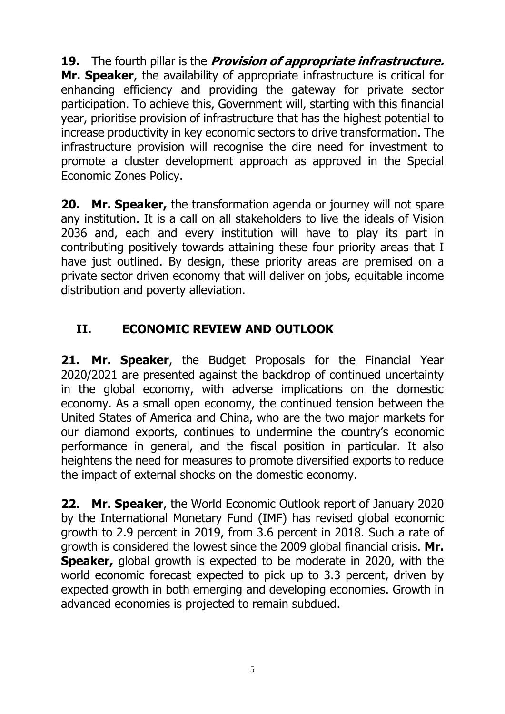**19.** The fourth pillar is the **Provision of appropriate infrastructure. Mr. Speaker**, the availability of appropriate infrastructure is critical for enhancing efficiency and providing the gateway for private sector participation. To achieve this, Government will, starting with this financial year, prioritise provision of infrastructure that has the highest potential to increase productivity in key economic sectors to drive transformation. The infrastructure provision will recognise the dire need for investment to promote a cluster development approach as approved in the Special Economic Zones Policy.

**20. Mr. Speaker,** the transformation agenda or journey will not spare any institution. It is a call on all stakeholders to live the ideals of Vision 2036 and, each and every institution will have to play its part in contributing positively towards attaining these four priority areas that I have just outlined. By design, these priority areas are premised on a private sector driven economy that will deliver on jobs, equitable income distribution and poverty alleviation.

# <span id="page-6-0"></span>**II. ECONOMIC REVIEW AND OUTLOOK**

**21. Mr. Speaker**, the Budget Proposals for the Financial Year 2020/2021 are presented against the backdrop of continued uncertainty in the global economy, with adverse implications on the domestic economy. As a small open economy, the continued tension between the United States of America and China, who are the two major markets for our diamond exports, continues to undermine the country's economic performance in general, and the fiscal position in particular. It also heightens the need for measures to promote diversified exports to reduce the impact of external shocks on the domestic economy.

**22. Mr. Speaker**, the World Economic Outlook report of January 2020 by the International Monetary Fund (IMF) has revised global economic growth to 2.9 percent in 2019, from 3.6 percent in 2018. Such a rate of growth is considered the lowest since the 2009 global financial crisis. **Mr. Speaker,** global growth is expected to be moderate in 2020, with the world economic forecast expected to pick up to 3.3 percent, driven by expected growth in both emerging and developing economies. Growth in advanced economies is projected to remain subdued.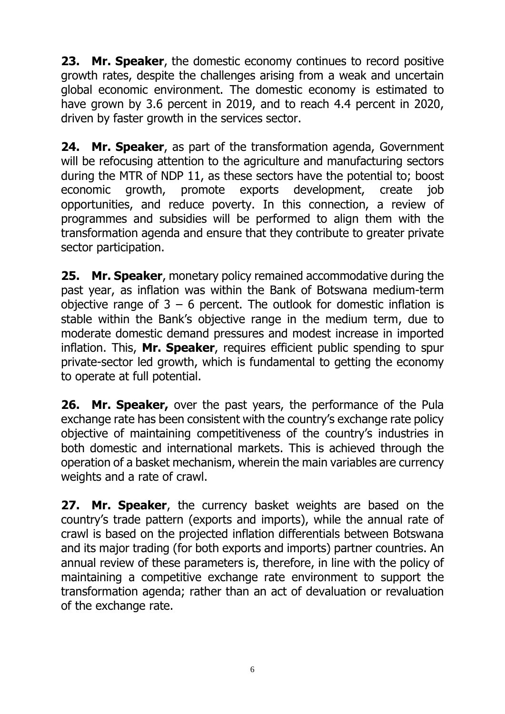**23. Mr. Speaker**, the domestic economy continues to record positive growth rates, despite the challenges arising from a weak and uncertain global economic environment. The domestic economy is estimated to have grown by 3.6 percent in 2019, and to reach 4.4 percent in 2020, driven by faster growth in the services sector.

**24. Mr. Speaker**, as part of the transformation agenda, Government will be refocusing attention to the agriculture and manufacturing sectors during the MTR of NDP 11, as these sectors have the potential to; boost economic growth, promote exports development, create job opportunities, and reduce poverty. In this connection, a review of programmes and subsidies will be performed to align them with the transformation agenda and ensure that they contribute to greater private sector participation.

**25. Mr. Speaker**, monetary policy remained accommodative during the past year, as inflation was within the Bank of Botswana medium-term objective range of  $3 - 6$  percent. The outlook for domestic inflation is stable within the Bank's objective range in the medium term, due to moderate domestic demand pressures and modest increase in imported inflation. This, **Mr. Speaker**, requires efficient public spending to spur private-sector led growth, which is fundamental to getting the economy to operate at full potential.

**26. Mr. Speaker,** over the past years, the performance of the Pula exchange rate has been consistent with the country's exchange rate policy objective of maintaining competitiveness of the country's industries in both domestic and international markets. This is achieved through the operation of a basket mechanism, wherein the main variables are currency weights and a rate of crawl.

**27. Mr. Speaker**, the currency basket weights are based on the country's trade pattern (exports and imports), while the annual rate of crawl is based on the projected inflation differentials between Botswana and its major trading (for both exports and imports) partner countries. An annual review of these parameters is, therefore, in line with the policy of maintaining a competitive exchange rate environment to support the transformation agenda; rather than an act of devaluation or revaluation of the exchange rate.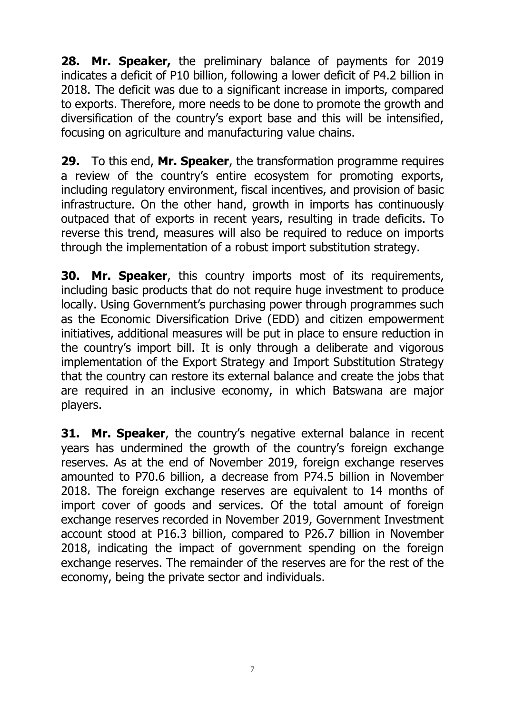**28. Mr. Speaker,** the preliminary balance of payments for 2019 indicates a deficit of P10 billion, following a lower deficit of P4.2 billion in 2018. The deficit was due to a significant increase in imports, compared to exports. Therefore, more needs to be done to promote the growth and diversification of the country's export base and this will be intensified, focusing on agriculture and manufacturing value chains.

**29.** To this end, **Mr. Speaker**, the transformation programme requires a review of the country's entire ecosystem for promoting exports, including regulatory environment, fiscal incentives, and provision of basic infrastructure. On the other hand, growth in imports has continuously outpaced that of exports in recent years, resulting in trade deficits. To reverse this trend, measures will also be required to reduce on imports through the implementation of a robust import substitution strategy.

**30. Mr. Speaker**, this country imports most of its requirements, including basic products that do not require huge investment to produce locally. Using Government's purchasing power through programmes such as the Economic Diversification Drive (EDD) and citizen empowerment initiatives, additional measures will be put in place to ensure reduction in the country's import bill. It is only through a deliberate and vigorous implementation of the Export Strategy and Import Substitution Strategy that the country can restore its external balance and create the jobs that are required in an inclusive economy, in which Batswana are major players.

**31. Mr. Speaker**, the country's negative external balance in recent years has undermined the growth of the country's foreign exchange reserves. As at the end of November 2019, foreign exchange reserves amounted to P70.6 billion, a decrease from P74.5 billion in November 2018. The foreign exchange reserves are equivalent to 14 months of import cover of goods and services. Of the total amount of foreign exchange reserves recorded in November 2019, Government Investment account stood at P16.3 billion, compared to P26.7 billion in November 2018, indicating the impact of government spending on the foreign exchange reserves. The remainder of the reserves are for the rest of the economy, being the private sector and individuals.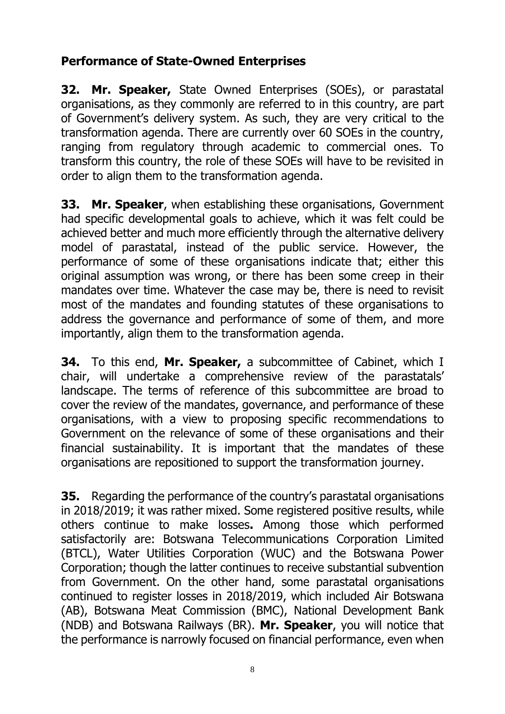### **Performance of State-Owned Enterprises**

**32. Mr. Speaker,** State Owned Enterprises (SOEs), or parastatal organisations, as they commonly are referred to in this country, are part of Government's delivery system. As such, they are very critical to the transformation agenda. There are currently over 60 SOEs in the country, ranging from regulatory through academic to commercial ones. To transform this country, the role of these SOEs will have to be revisited in order to align them to the transformation agenda.

**33. Mr. Speaker**, when establishing these organisations, Government had specific developmental goals to achieve, which it was felt could be achieved better and much more efficiently through the alternative delivery model of parastatal, instead of the public service. However, the performance of some of these organisations indicate that; either this original assumption was wrong, or there has been some creep in their mandates over time. Whatever the case may be, there is need to revisit most of the mandates and founding statutes of these organisations to address the governance and performance of some of them, and more importantly, align them to the transformation agenda.

**34.** To this end, **Mr. Speaker,** a subcommittee of Cabinet, which I chair, will undertake a comprehensive review of the parastatals' landscape. The terms of reference of this subcommittee are broad to cover the review of the mandates, governance, and performance of these organisations, with a view to proposing specific recommendations to Government on the relevance of some of these organisations and their financial sustainability. It is important that the mandates of these organisations are repositioned to support the transformation journey.

**35.** Regarding the performance of the country's parastatal organisations in 2018/2019; it was rather mixed. Some registered positive results, while others continue to make losses**.** Among those which performed satisfactorily are: Botswana Telecommunications Corporation Limited (BTCL), Water Utilities Corporation (WUC) and the Botswana Power Corporation; though the latter continues to receive substantial subvention from Government. On the other hand, some parastatal organisations continued to register losses in 2018/2019, which included Air Botswana (AB), Botswana Meat Commission (BMC), National Development Bank (NDB) and Botswana Railways (BR). **Mr. Speaker**, you will notice that the performance is narrowly focused on financial performance, even when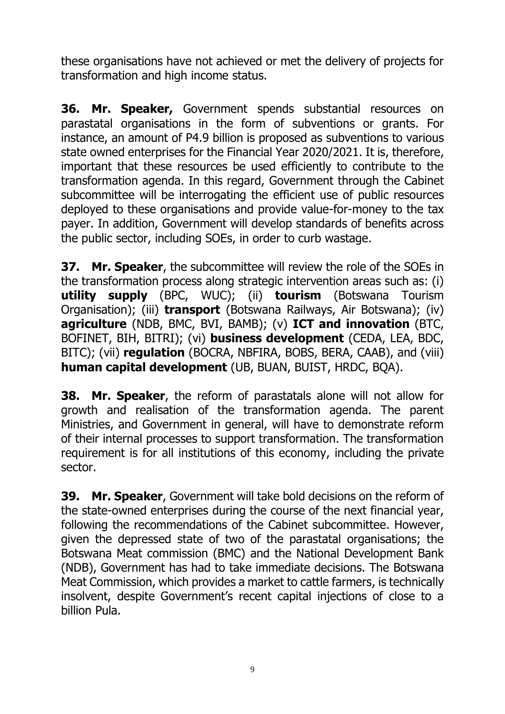these organisations have not achieved or met the delivery of projects for transformation and high income status.

**36. Mr. Speaker,** Government spends substantial resources on parastatal organisations in the form of subventions or grants. For instance, an amount of P4.9 billion is proposed as subventions to various state owned enterprises for the Financial Year 2020/2021. It is, therefore, important that these resources be used efficiently to contribute to the transformation agenda. In this regard, Government through the Cabinet subcommittee will be interrogating the efficient use of public resources deployed to these organisations and provide value-for-money to the tax payer. In addition, Government will develop standards of benefits across the public sector, including SOEs, in order to curb wastage.

**37. Mr. Speaker**, the subcommittee will review the role of the SOEs in the transformation process along strategic intervention areas such as: (i) **utility supply** (BPC, WUC); (ii) **tourism** (Botswana Tourism Organisation); (iii) **transport** (Botswana Railways, Air Botswana); (iv) **agriculture** (NDB, BMC, BVI, BAMB); (v) **ICT and innovation** (BTC, BOFINET, BIH, BITRI); (vi) **business development** (CEDA, LEA, BDC, BITC); (vii) **regulation** (BOCRA, NBFIRA, BOBS, BERA, CAAB), and (viii) **human capital development** (UB, BUAN, BUIST, HRDC, BQA).

**38. Mr. Speaker**, the reform of parastatals alone will not allow for growth and realisation of the transformation agenda. The parent Ministries, and Government in general, will have to demonstrate reform of their internal processes to support transformation. The transformation requirement is for all institutions of this economy, including the private sector.

**39. Mr. Speaker**, Government will take bold decisions on the reform of the state-owned enterprises during the course of the next financial year, following the recommendations of the Cabinet subcommittee. However, given the depressed state of two of the parastatal organisations; the Botswana Meat commission (BMC) and the National Development Bank (NDB), Government has had to take immediate decisions. The Botswana Meat Commission, which provides a market to cattle farmers, is technically insolvent, despite Government's recent capital injections of close to a billion Pula.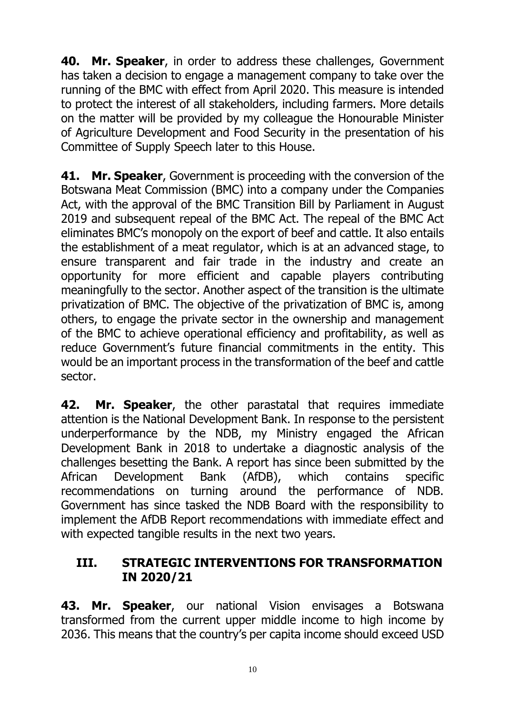**40. Mr. Speaker**, in order to address these challenges, Government has taken a decision to engage a management company to take over the running of the BMC with effect from April 2020. This measure is intended to protect the interest of all stakeholders, including farmers. More details on the matter will be provided by my colleague the Honourable Minister of Agriculture Development and Food Security in the presentation of his Committee of Supply Speech later to this House.

**41. Mr. Speaker**, Government is proceeding with the conversion of the Botswana Meat Commission (BMC) into a company under the Companies Act, with the approval of the BMC Transition Bill by Parliament in August 2019 and subsequent repeal of the BMC Act. The repeal of the BMC Act eliminates BMC's monopoly on the export of beef and cattle. It also entails the establishment of a meat regulator, which is at an advanced stage, to ensure transparent and fair trade in the industry and create an opportunity for more efficient and capable players contributing meaningfully to the sector. Another aspect of the transition is the ultimate privatization of BMC. The objective of the privatization of BMC is, among others, to engage the private sector in the ownership and management of the BMC to achieve operational efficiency and profitability, as well as reduce Government's future financial commitments in the entity. This would be an important process in the transformation of the beef and cattle sector.

**42. Mr. Speaker**, the other parastatal that requires immediate attention is the National Development Bank. In response to the persistent underperformance by the NDB, my Ministry engaged the African Development Bank in 2018 to undertake a diagnostic analysis of the challenges besetting the Bank. A report has since been submitted by the African Development Bank (AfDB), which contains specific recommendations on turning around the performance of NDB. Government has since tasked the NDB Board with the responsibility to implement the AfDB Report recommendations with immediate effect and with expected tangible results in the next two years.

#### <span id="page-11-0"></span>**III. STRATEGIC INTERVENTIONS FOR TRANSFORMATION IN 2020/21**

**43. Mr. Speaker**, our national Vision envisages a Botswana transformed from the current upper middle income to high income by 2036. This means that the country's per capita income should exceed USD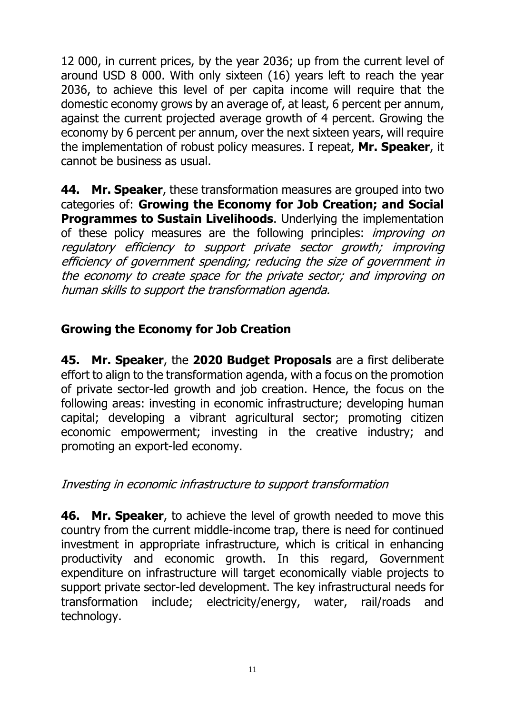12 000, in current prices, by the year 2036; up from the current level of around USD 8 000. With only sixteen (16) years left to reach the year 2036, to achieve this level of per capita income will require that the domestic economy grows by an average of, at least, 6 percent per annum, against the current projected average growth of 4 percent. Growing the economy by 6 percent per annum, over the next sixteen years, will require the implementation of robust policy measures. I repeat, **Mr. Speaker**, it cannot be business as usual.

**44. Mr. Speaker**, these transformation measures are grouped into two categories of: **Growing the Economy for Job Creation; and Social Programmes to Sustain Livelihoods**. Underlying the implementation of these policy measures are the following principles: *improving on* regulatory efficiency to support private sector growth; improving efficiency of government spending; reducing the size of government in the economy to create space for the private sector; and improving on human skills to support the transformation agenda.

## <span id="page-12-0"></span>**Growing the Economy for Job Creation**

**45. Mr. Speaker**, the **2020 Budget Proposals** are a first deliberate effort to align to the transformation agenda, with a focus on the promotion of private sector-led growth and job creation. Hence, the focus on the following areas: investing in economic infrastructure; developing human capital; developing a vibrant agricultural sector; promoting citizen economic empowerment; investing in the creative industry; and promoting an export-led economy.

#### <span id="page-12-1"></span>Investing in economic infrastructure to support transformation

**46. Mr. Speaker**, to achieve the level of growth needed to move this country from the current middle-income trap, there is need for continued investment in appropriate infrastructure, which is critical in enhancing productivity and economic growth. In this regard, Government expenditure on infrastructure will target economically viable projects to support private sector-led development. The key infrastructural needs for transformation include; electricity/energy, water, rail/roads and technology.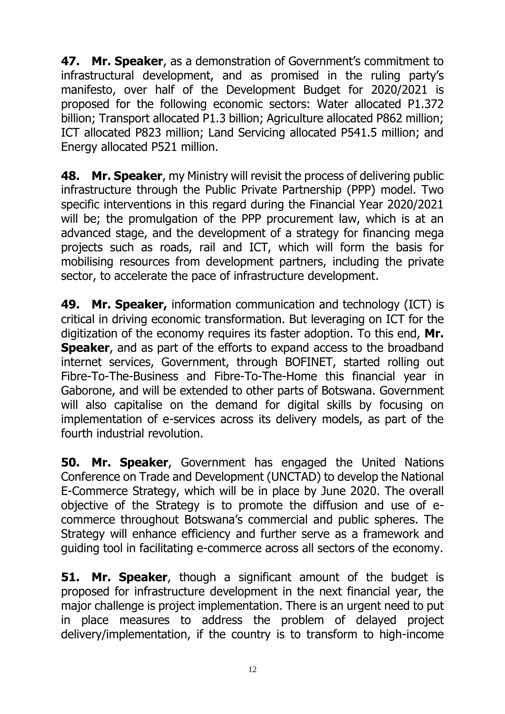**47. Mr. Speaker**, as a demonstration of Government's commitment to infrastructural development, and as promised in the ruling party's manifesto, over half of the Development Budget for 2020/2021 is proposed for the following economic sectors: Water allocated P1.372 billion; Transport allocated P1.3 billion; Agriculture allocated P862 million; ICT allocated P823 million; Land Servicing allocated P541.5 million; and Energy allocated P521 million.

**48. Mr. Speaker**, my Ministry will revisit the process of delivering public infrastructure through the Public Private Partnership (PPP) model. Two specific interventions in this regard during the Financial Year 2020/2021 will be; the promulgation of the PPP procurement law, which is at an advanced stage, and the development of a strategy for financing mega projects such as roads, rail and ICT, which will form the basis for mobilising resources from development partners, including the private sector, to accelerate the pace of infrastructure development.

**49. Mr. Speaker,** information communication and technology (ICT) is critical in driving economic transformation. But leveraging on ICT for the digitization of the economy requires its faster adoption. To this end, **Mr. Speaker**, and as part of the efforts to expand access to the broadband internet services, Government, through BOFINET, started rolling out Fibre-To-The-Business and Fibre-To-The-Home this financial year in Gaborone, and will be extended to other parts of Botswana. Government will also capitalise on the demand for digital skills by focusing on implementation of e-services across its delivery models, as part of the fourth industrial revolution.

**50. Mr. Speaker**, Government has engaged the United Nations Conference on Trade and Development (UNCTAD) to develop the National E-Commerce Strategy, which will be in place by June 2020. The overall objective of the Strategy is to promote the diffusion and use of ecommerce throughout Botswana's commercial and public spheres. The Strategy will enhance efficiency and further serve as a framework and guiding tool in facilitating e-commerce across all sectors of the economy.

**51. Mr. Speaker**, though a significant amount of the budget is proposed for infrastructure development in the next financial year, the major challenge is project implementation. There is an urgent need to put in place measures to address the problem of delayed project delivery/implementation, if the country is to transform to high-income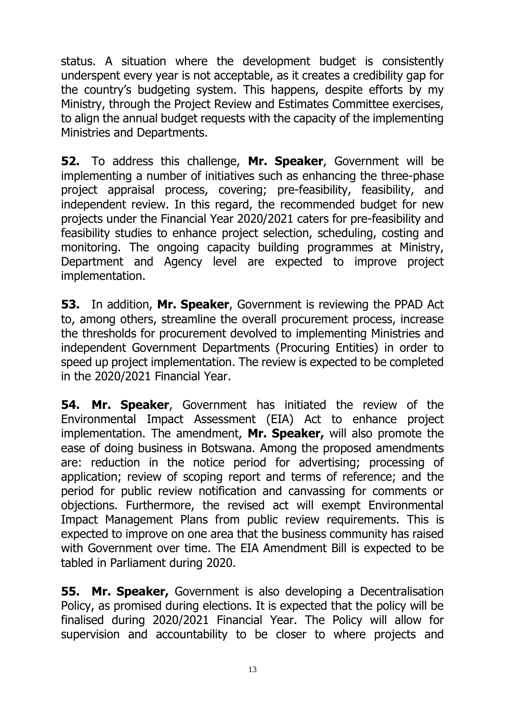status. A situation where the development budget is consistently underspent every year is not acceptable, as it creates a credibility gap for the country's budgeting system. This happens, despite efforts by my Ministry, through the Project Review and Estimates Committee exercises, to align the annual budget requests with the capacity of the implementing Ministries and Departments.

**52.** To address this challenge, **Mr. Speaker**, Government will be implementing a number of initiatives such as enhancing the three-phase project appraisal process, covering; pre-feasibility, feasibility, and independent review. In this regard, the recommended budget for new projects under the Financial Year 2020/2021 caters for pre-feasibility and feasibility studies to enhance project selection, scheduling, costing and monitoring. The ongoing capacity building programmes at Ministry, Department and Agency level are expected to improve project implementation.

**53.** In addition, **Mr. Speaker**, Government is reviewing the PPAD Act to, among others, streamline the overall procurement process, increase the thresholds for procurement devolved to implementing Ministries and independent Government Departments (Procuring Entities) in order to speed up project implementation. The review is expected to be completed in the 2020/2021 Financial Year.

**54. Mr. Speaker**, Government has initiated the review of the Environmental Impact Assessment (EIA) Act to enhance project implementation. The amendment, **Mr. Speaker,** will also promote the ease of doing business in Botswana. Among the proposed amendments are: reduction in the notice period for advertising; processing of application; review of scoping report and terms of reference; and the period for public review notification and canvassing for comments or objections. Furthermore, the revised act will exempt Environmental Impact Management Plans from public review requirements. This is expected to improve on one area that the business community has raised with Government over time. The EIA Amendment Bill is expected to be tabled in Parliament during 2020.

**55. Mr. Speaker,** Government is also developing a Decentralisation Policy, as promised during elections. It is expected that the policy will be finalised during 2020/2021 Financial Year. The Policy will allow for supervision and accountability to be closer to where projects and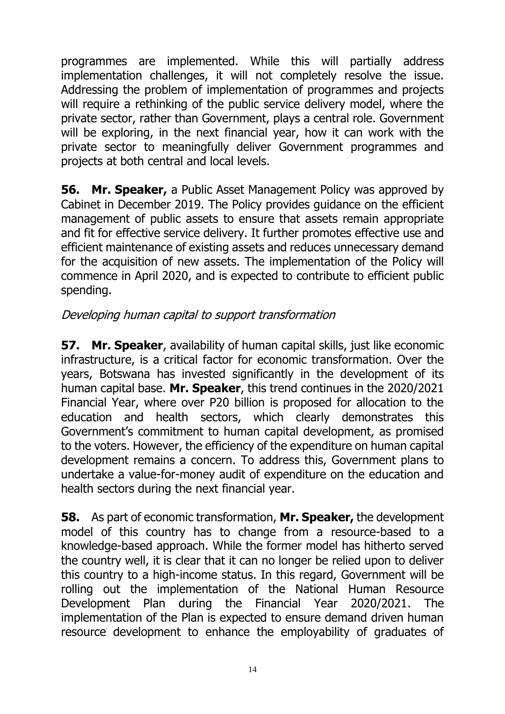programmes are implemented. While this will partially address implementation challenges, it will not completely resolve the issue. Addressing the problem of implementation of programmes and projects will require a rethinking of the public service delivery model, where the private sector, rather than Government, plays a central role. Government will be exploring, in the next financial year, how it can work with the private sector to meaningfully deliver Government programmes and projects at both central and local levels.

**56. Mr. Speaker,** a Public Asset Management Policy was approved by Cabinet in December 2019. The Policy provides guidance on the efficient management of public assets to ensure that assets remain appropriate and fit for effective service delivery. It further promotes effective use and efficient maintenance of existing assets and reduces unnecessary demand for the acquisition of new assets. The implementation of the Policy will commence in April 2020, and is expected to contribute to efficient public spending.

### <span id="page-15-0"></span>Developing human capital to support transformation

**57. Mr. Speaker**, availability of human capital skills, just like economic infrastructure, is a critical factor for economic transformation. Over the years, Botswana has invested significantly in the development of its human capital base. **Mr. Speaker**, this trend continues in the 2020/2021 Financial Year, where over P20 billion is proposed for allocation to the education and health sectors, which clearly demonstrates this Government's commitment to human capital development, as promised to the voters. However, the efficiency of the expenditure on human capital development remains a concern. To address this, Government plans to undertake a value-for-money audit of expenditure on the education and health sectors during the next financial year.

**58.** As part of economic transformation, **Mr. Speaker,** the development model of this country has to change from a resource-based to a knowledge-based approach. While the former model has hitherto served the country well, it is clear that it can no longer be relied upon to deliver this country to a high-income status. In this regard, Government will be rolling out the implementation of the National Human Resource Development Plan during the Financial Year 2020/2021. The implementation of the Plan is expected to ensure demand driven human resource development to enhance the employability of graduates of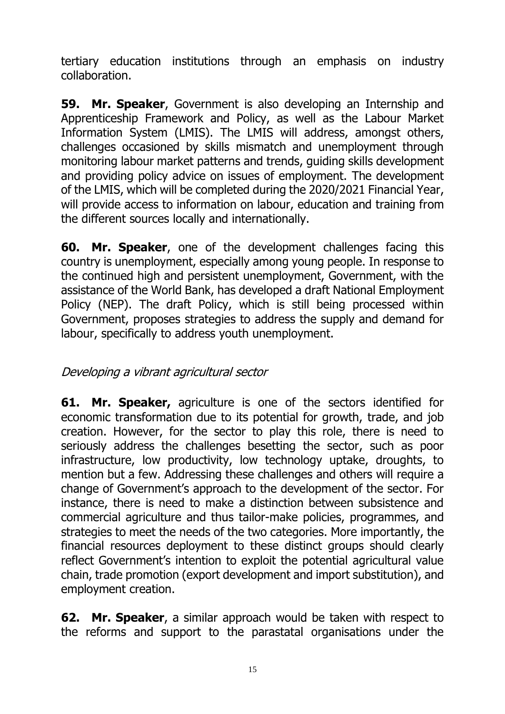tertiary education institutions through an emphasis on industry collaboration.

**59. Mr. Speaker**, Government is also developing an Internship and Apprenticeship Framework and Policy, as well as the Labour Market Information System (LMIS). The LMIS will address, amongst others, challenges occasioned by skills mismatch and unemployment through monitoring labour market patterns and trends, guiding skills development and providing policy advice on issues of employment. The development of the LMIS, which will be completed during the 2020/2021 Financial Year, will provide access to information on labour, education and training from the different sources locally and internationally.

**60. Mr. Speaker**, one of the development challenges facing this country is unemployment, especially among young people. In response to the continued high and persistent unemployment, Government, with the assistance of the World Bank, has developed a draft National Employment Policy (NEP). The draft Policy, which is still being processed within Government, proposes strategies to address the supply and demand for labour, specifically to address youth unemployment.

### <span id="page-16-0"></span>Developing a vibrant agricultural sector

**61. Mr. Speaker,** agriculture is one of the sectors identified for economic transformation due to its potential for growth, trade, and job creation. However, for the sector to play this role, there is need to seriously address the challenges besetting the sector, such as poor infrastructure, low productivity, low technology uptake, droughts, to mention but a few. Addressing these challenges and others will require a change of Government's approach to the development of the sector. For instance, there is need to make a distinction between subsistence and commercial agriculture and thus tailor-make policies, programmes, and strategies to meet the needs of the two categories. More importantly, the financial resources deployment to these distinct groups should clearly reflect Government's intention to exploit the potential agricultural value chain, trade promotion (export development and import substitution), and employment creation.

**62. Mr. Speaker**, a similar approach would be taken with respect to the reforms and support to the parastatal organisations under the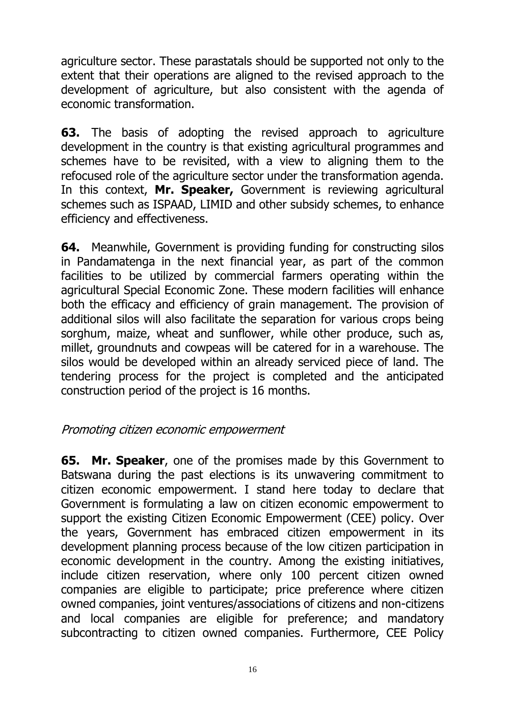agriculture sector. These parastatals should be supported not only to the extent that their operations are aligned to the revised approach to the development of agriculture, but also consistent with the agenda of economic transformation.

**63.** The basis of adopting the revised approach to agriculture development in the country is that existing agricultural programmes and schemes have to be revisited, with a view to aligning them to the refocused role of the agriculture sector under the transformation agenda. In this context, **Mr. Speaker,** Government is reviewing agricultural schemes such as ISPAAD, LIMID and other subsidy schemes, to enhance efficiency and effectiveness.

**64.** Meanwhile, Government is providing funding for constructing silos in Pandamatenga in the next financial year, as part of the common facilities to be utilized by commercial farmers operating within the agricultural Special Economic Zone. These modern facilities will enhance both the efficacy and efficiency of grain management. The provision of additional silos will also facilitate the separation for various crops being sorghum, maize, wheat and sunflower, while other produce, such as, millet, groundnuts and cowpeas will be catered for in a warehouse. The silos would be developed within an already serviced piece of land. The tendering process for the project is completed and the anticipated construction period of the project is 16 months.

#### <span id="page-17-0"></span>Promoting citizen economic empowerment

**65. Mr. Speaker**, one of the promises made by this Government to Batswana during the past elections is its unwavering commitment to citizen economic empowerment. I stand here today to declare that Government is formulating a law on citizen economic empowerment to support the existing Citizen Economic Empowerment (CEE) policy. Over the years, Government has embraced citizen empowerment in its development planning process because of the low citizen participation in economic development in the country. Among the existing initiatives, include citizen reservation, where only 100 percent citizen owned companies are eligible to participate; price preference where citizen owned companies, joint ventures/associations of citizens and non-citizens and local companies are eligible for preference; and mandatory subcontracting to citizen owned companies. Furthermore, CEE Policy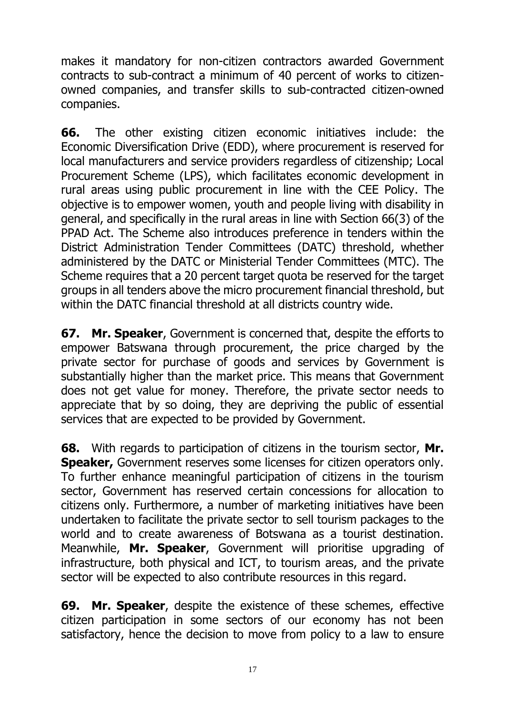makes it mandatory for non-citizen contractors awarded Government contracts to sub-contract a minimum of 40 percent of works to citizenowned companies, and transfer skills to sub-contracted citizen-owned companies.

**66.** The other existing citizen economic initiatives include: the Economic Diversification Drive (EDD), where procurement is reserved for local manufacturers and service providers regardless of citizenship; Local Procurement Scheme (LPS), which facilitates economic development in rural areas using public procurement in line with the CEE Policy. The objective is to empower women, youth and people living with disability in general, and specifically in the rural areas in line with Section 66(3) of the PPAD Act. The Scheme also introduces preference in tenders within the District Administration Tender Committees (DATC) threshold, whether administered by the DATC or Ministerial Tender Committees (MTC). The Scheme requires that a 20 percent target quota be reserved for the target groups in all tenders above the micro procurement financial threshold, but within the DATC financial threshold at all districts country wide.

**67. Mr. Speaker**, Government is concerned that, despite the efforts to empower Batswana through procurement, the price charged by the private sector for purchase of goods and services by Government is substantially higher than the market price. This means that Government does not get value for money. Therefore, the private sector needs to appreciate that by so doing, they are depriving the public of essential services that are expected to be provided by Government.

**68.** With regards to participation of citizens in the tourism sector, **Mr. Speaker,** Government reserves some licenses for citizen operators only. To further enhance meaningful participation of citizens in the tourism sector, Government has reserved certain concessions for allocation to citizens only. Furthermore, a number of marketing initiatives have been undertaken to facilitate the private sector to sell tourism packages to the world and to create awareness of Botswana as a tourist destination. Meanwhile, **Mr. Speaker**, Government will prioritise upgrading of infrastructure, both physical and ICT, to tourism areas, and the private sector will be expected to also contribute resources in this regard.

**69. Mr. Speaker**, despite the existence of these schemes, effective citizen participation in some sectors of our economy has not been satisfactory, hence the decision to move from policy to a law to ensure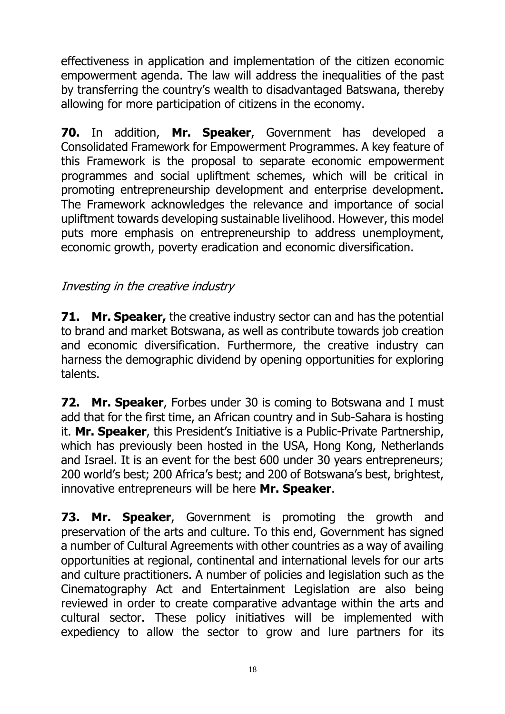effectiveness in application and implementation of the citizen economic empowerment agenda. The law will address the inequalities of the past by transferring the country's wealth to disadvantaged Batswana, thereby allowing for more participation of citizens in the economy.

**70.** In addition, **Mr. Speaker**, Government has developed a Consolidated Framework for Empowerment Programmes. A key feature of this Framework is the proposal to separate economic empowerment programmes and social upliftment schemes, which will be critical in promoting entrepreneurship development and enterprise development. The Framework acknowledges the relevance and importance of social upliftment towards developing sustainable livelihood. However, this model puts more emphasis on entrepreneurship to address unemployment, economic growth, poverty eradication and economic diversification.

### <span id="page-19-0"></span>Investing in the creative industry

**71. Mr. Speaker,** the creative industry sector can and has the potential to brand and market Botswana, as well as contribute towards job creation and economic diversification. Furthermore, the creative industry can harness the demographic dividend by opening opportunities for exploring talents.

**72. Mr. Speaker**, Forbes under 30 is coming to Botswana and I must add that for the first time, an African country and in Sub-Sahara is hosting it. **Mr. Speaker**, this President's Initiative is a Public-Private Partnership, which has previously been hosted in the USA, Hong Kong, Netherlands and Israel. It is an event for the best 600 under 30 years entrepreneurs; 200 world's best; 200 Africa's best; and 200 of Botswana's best, brightest, innovative entrepreneurs will be here **Mr. Speaker**.

**73. Mr. Speaker**, Government is promoting the growth and preservation of the arts and culture. To this end, Government has signed a number of Cultural Agreements with other countries as a way of availing opportunities at regional, continental and international levels for our arts and culture practitioners. A number of policies and legislation such as the Cinematography Act and Entertainment Legislation are also being reviewed in order to create comparative advantage within the arts and cultural sector. These policy initiatives will be implemented with expediency to allow the sector to grow and lure partners for its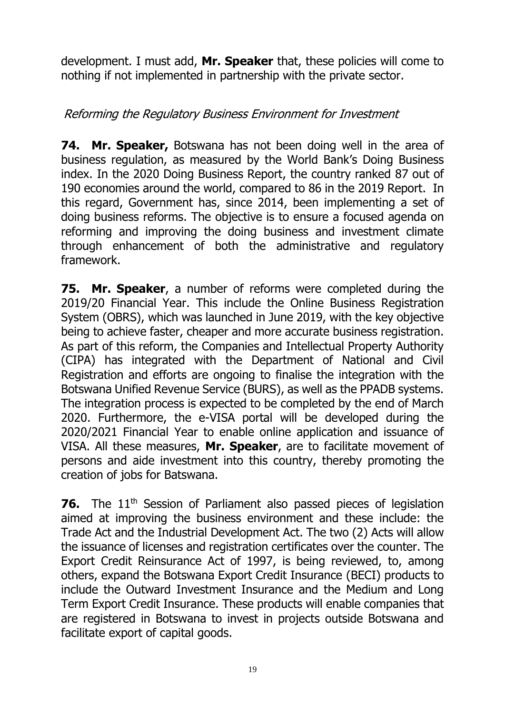development. I must add, **Mr. Speaker** that, these policies will come to nothing if not implemented in partnership with the private sector.

#### <span id="page-20-0"></span>Reforming the Regulatory Business Environment for Investment

**74. Mr. Speaker,** Botswana has not been doing well in the area of business regulation, as measured by the World Bank's Doing Business index. In the 2020 Doing Business Report, the country ranked 87 out of 190 economies around the world, compared to 86 in the 2019 Report. In this regard, Government has, since 2014, been implementing a set of doing business reforms. The objective is to ensure a focused agenda on reforming and improving the doing business and investment climate through enhancement of both the administrative and regulatory framework.

**75. Mr. Speaker**, a number of reforms were completed during the 2019/20 Financial Year. This include the Online Business Registration System (OBRS), which was launched in June 2019, with the key objective being to achieve faster, cheaper and more accurate business registration. As part of this reform, the Companies and Intellectual Property Authority (CIPA) has integrated with the Department of National and Civil Registration and efforts are ongoing to finalise the integration with the Botswana Unified Revenue Service (BURS), as well as the PPADB systems. The integration process is expected to be completed by the end of March 2020. Furthermore, the e-VISA portal will be developed during the 2020/2021 Financial Year to enable online application and issuance of VISA. All these measures, **Mr. Speaker**, are to facilitate movement of persons and aide investment into this country, thereby promoting the creation of jobs for Batswana.

**76.** The 11<sup>th</sup> Session of Parliament also passed pieces of legislation aimed at improving the business environment and these include: the Trade Act and the Industrial Development Act. The two (2) Acts will allow the issuance of licenses and registration certificates over the counter. The Export Credit Reinsurance Act of 1997, is being reviewed, to, among others, expand the Botswana Export Credit Insurance (BECI) products to include the Outward Investment Insurance and the Medium and Long Term Export Credit Insurance. These products will enable companies that are registered in Botswana to invest in projects outside Botswana and facilitate export of capital goods.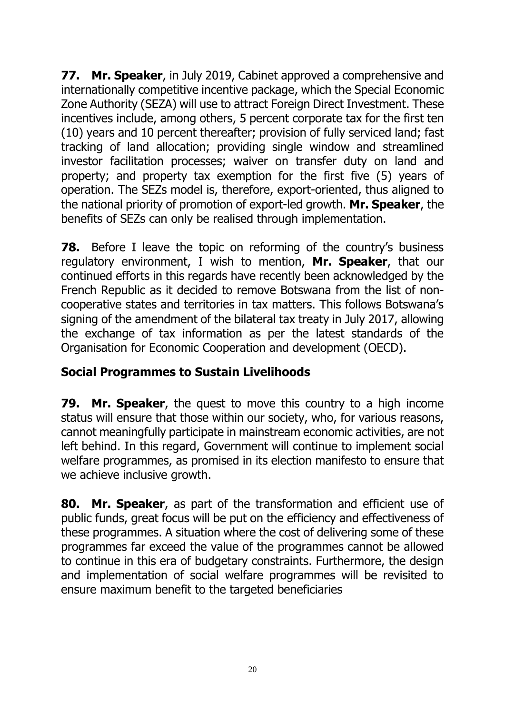**77. Mr. Speaker**, in July 2019, Cabinet approved a comprehensive and internationally competitive incentive package, which the Special Economic Zone Authority (SEZA) will use to attract Foreign Direct Investment. These incentives include, among others, 5 percent corporate tax for the first ten (10) years and 10 percent thereafter; provision of fully serviced land; fast tracking of land allocation; providing single window and streamlined investor facilitation processes; waiver on transfer duty on land and property; and property tax exemption for the first five (5) years of operation. The SEZs model is, therefore, export-oriented, thus aligned to the national priority of promotion of export-led growth. **Mr. Speaker**, the benefits of SEZs can only be realised through implementation.

**78.** Before I leave the topic on reforming of the country's business regulatory environment, I wish to mention, **Mr. Speaker**, that our continued efforts in this regards have recently been acknowledged by the French Republic as it decided to remove Botswana from the list of noncooperative states and territories in tax matters. This follows Botswana's signing of the amendment of the bilateral tax treaty in July 2017, allowing the exchange of tax information as per the latest standards of the Organisation for Economic Cooperation and development (OECD).

### <span id="page-21-0"></span>**Social Programmes to Sustain Livelihoods**

**79. Mr. Speaker**, the quest to move this country to a high income status will ensure that those within our society, who, for various reasons, cannot meaningfully participate in mainstream economic activities, are not left behind. In this regard, Government will continue to implement social welfare programmes, as promised in its election manifesto to ensure that we achieve inclusive growth.

**80. Mr. Speaker**, as part of the transformation and efficient use of public funds, great focus will be put on the efficiency and effectiveness of these programmes. A situation where the cost of delivering some of these programmes far exceed the value of the programmes cannot be allowed to continue in this era of budgetary constraints. Furthermore, the design and implementation of social welfare programmes will be revisited to ensure maximum benefit to the targeted beneficiaries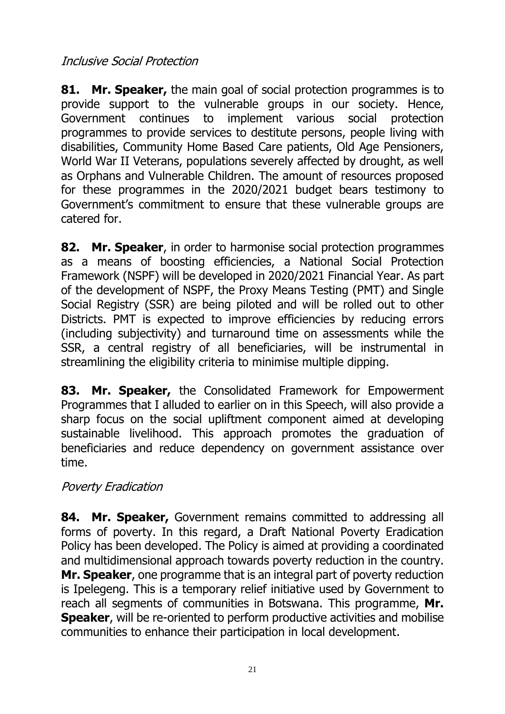### <span id="page-22-0"></span>Inclusive Social Protection

**81. Mr. Speaker,** the main goal of social protection programmes is to provide support to the vulnerable groups in our society. Hence, Government continues to implement various social protection programmes to provide services to destitute persons, people living with disabilities, Community Home Based Care patients, Old Age Pensioners, World War II Veterans, populations severely affected by drought, as well as Orphans and Vulnerable Children. The amount of resources proposed for these programmes in the 2020/2021 budget bears testimony to Government's commitment to ensure that these vulnerable groups are catered for.

**82. Mr. Speaker**, in order to harmonise social protection programmes as a means of boosting efficiencies, a National Social Protection Framework (NSPF) will be developed in 2020/2021 Financial Year. As part of the development of NSPF, the Proxy Means Testing (PMT) and Single Social Registry (SSR) are being piloted and will be rolled out to other Districts. PMT is expected to improve efficiencies by reducing errors (including subjectivity) and turnaround time on assessments while the SSR, a central registry of all beneficiaries, will be instrumental in streamlining the eligibility criteria to minimise multiple dipping.

**83. Mr. Speaker,** the Consolidated Framework for Empowerment Programmes that I alluded to earlier on in this Speech, will also provide a sharp focus on the social upliftment component aimed at developing sustainable livelihood. This approach promotes the graduation of beneficiaries and reduce dependency on government assistance over time.

### <span id="page-22-1"></span>Poverty Eradication

**84. Mr. Speaker,** Government remains committed to addressing all forms of poverty. In this regard, a Draft National Poverty Eradication Policy has been developed. The Policy is aimed at providing a coordinated and multidimensional approach towards poverty reduction in the country. **Mr. Speaker**, one programme that is an integral part of poverty reduction is Ipelegeng. This is a temporary relief initiative used by Government to reach all segments of communities in Botswana. This programme, **Mr. Speaker**, will be re-oriented to perform productive activities and mobilise communities to enhance their participation in local development.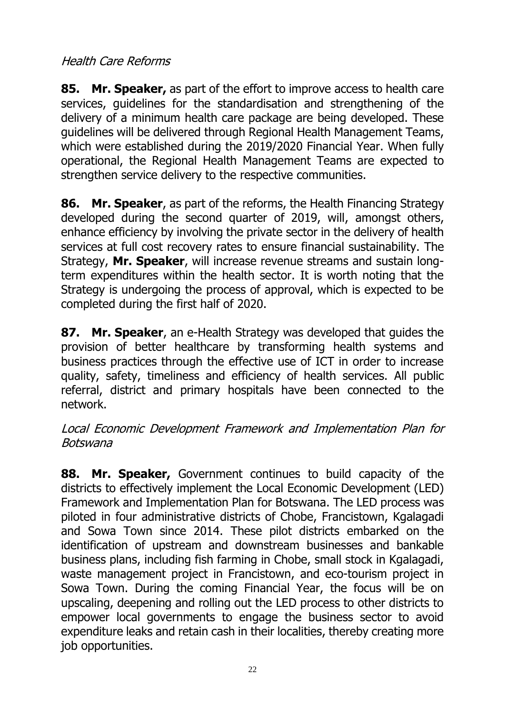### <span id="page-23-0"></span>Health Care Reforms

**85. Mr. Speaker,** as part of the effort to improve access to health care services, guidelines for the standardisation and strengthening of the delivery of a minimum health care package are being developed. These guidelines will be delivered through Regional Health Management Teams, which were established during the 2019/2020 Financial Year. When fully operational, the Regional Health Management Teams are expected to strengthen service delivery to the respective communities.

**86. Mr. Speaker**, as part of the reforms, the Health Financing Strategy developed during the second quarter of 2019, will, amongst others, enhance efficiency by involving the private sector in the delivery of health services at full cost recovery rates to ensure financial sustainability. The Strategy, **Mr. Speaker**, will increase revenue streams and sustain longterm expenditures within the health sector. It is worth noting that the Strategy is undergoing the process of approval, which is expected to be completed during the first half of 2020.

**87. Mr. Speaker**, an e-Health Strategy was developed that guides the provision of better healthcare by transforming health systems and business practices through the effective use of ICT in order to increase quality, safety, timeliness and efficiency of health services. All public referral, district and primary hospitals have been connected to the network.

#### <span id="page-23-1"></span>Local Economic Development Framework and Implementation Plan for Botswana

**88. Mr. Speaker,** Government continues to build capacity of the districts to effectively implement the Local Economic Development (LED) Framework and Implementation Plan for Botswana. The LED process was piloted in four administrative districts of Chobe, Francistown, Kgalagadi and Sowa Town since 2014. These pilot districts embarked on the identification of upstream and downstream businesses and bankable business plans, including fish farming in Chobe, small stock in Kgalagadi, waste management project in Francistown, and eco-tourism project in Sowa Town. During the coming Financial Year, the focus will be on upscaling, deepening and rolling out the LED process to other districts to empower local governments to engage the business sector to avoid expenditure leaks and retain cash in their localities, thereby creating more job opportunities.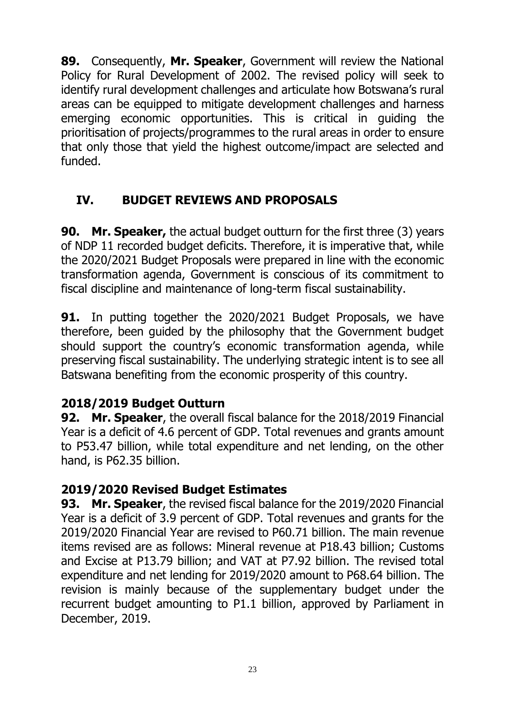**89.** Consequently, **Mr. Speaker**, Government will review the National Policy for Rural Development of 2002. The revised policy will seek to identify rural development challenges and articulate how Botswana's rural areas can be equipped to mitigate development challenges and harness emerging economic opportunities. This is critical in guiding the prioritisation of projects/programmes to the rural areas in order to ensure that only those that yield the highest outcome/impact are selected and funded.

## <span id="page-24-0"></span>**IV. BUDGET REVIEWS AND PROPOSALS**

**90. Mr. Speaker,** the actual budget outturn for the first three (3) years of NDP 11 recorded budget deficits. Therefore, it is imperative that, while the 2020/2021 Budget Proposals were prepared in line with the economic transformation agenda, Government is conscious of its commitment to fiscal discipline and maintenance of long-term fiscal sustainability.

**91.** In putting together the 2020/2021 Budget Proposals, we have therefore, been guided by the philosophy that the Government budget should support the country's economic transformation agenda, while preserving fiscal sustainability. The underlying strategic intent is to see all Batswana benefiting from the economic prosperity of this country.

## <span id="page-24-1"></span>**2018/2019 Budget Outturn**

**92. Mr. Speaker**, the overall fiscal balance for the 2018/2019 Financial Year is a deficit of 4.6 percent of GDP. Total revenues and grants amount to P53.47 billion, while total expenditure and net lending, on the other hand, is P62.35 billion.

### <span id="page-24-2"></span>**2019/2020 Revised Budget Estimates**

**93. Mr. Speaker**, the revised fiscal balance for the 2019/2020 Financial Year is a deficit of 3.9 percent of GDP. Total revenues and grants for the 2019/2020 Financial Year are revised to P60.71 billion. The main revenue items revised are as follows: Mineral revenue at P18.43 billion; Customs and Excise at P13.79 billion; and VAT at P7.92 billion. The revised total expenditure and net lending for 2019/2020 amount to P68.64 billion. The revision is mainly because of the supplementary budget under the recurrent budget amounting to P1.1 billion, approved by Parliament in December, 2019.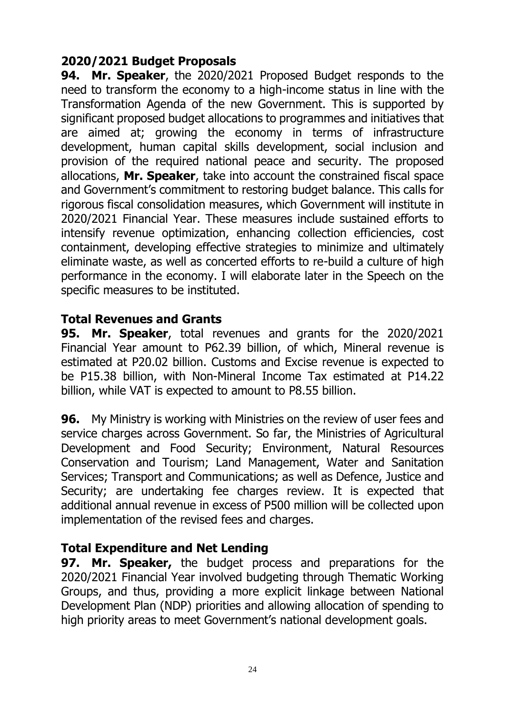#### <span id="page-25-0"></span>**2020/2021 Budget Proposals**

**94. Mr. Speaker**, the 2020/2021 Proposed Budget responds to the need to transform the economy to a high-income status in line with the Transformation Agenda of the new Government. This is supported by significant proposed budget allocations to programmes and initiatives that are aimed at; growing the economy in terms of infrastructure development, human capital skills development, social inclusion and provision of the required national peace and security. The proposed allocations, **Mr. Speaker**, take into account the constrained fiscal space and Government's commitment to restoring budget balance. This calls for rigorous fiscal consolidation measures, which Government will institute in 2020/2021 Financial Year. These measures include sustained efforts to intensify revenue optimization, enhancing collection efficiencies, cost containment, developing effective strategies to minimize and ultimately eliminate waste, as well as concerted efforts to re-build a culture of high performance in the economy. I will elaborate later in the Speech on the specific measures to be instituted.

#### <span id="page-25-1"></span>**Total Revenues and Grants**

**95. Mr. Speaker**, total revenues and grants for the 2020/2021 Financial Year amount to P62.39 billion, of which, Mineral revenue is estimated at P20.02 billion. Customs and Excise revenue is expected to be P15.38 billion, with Non-Mineral Income Tax estimated at P14.22 billion, while VAT is expected to amount to P8.55 billion.

**96.** My Ministry is working with Ministries on the review of user fees and service charges across Government. So far, the Ministries of Agricultural Development and Food Security; Environment, Natural Resources Conservation and Tourism; Land Management, Water and Sanitation Services; Transport and Communications; as well as Defence, Justice and Security; are undertaking fee charges review. It is expected that additional annual revenue in excess of P500 million will be collected upon implementation of the revised fees and charges.

### <span id="page-25-2"></span>**Total Expenditure and Net Lending**

**97. Mr. Speaker,** the budget process and preparations for the 2020/2021 Financial Year involved budgeting through Thematic Working Groups, and thus, providing a more explicit linkage between National Development Plan (NDP) priorities and allowing allocation of spending to high priority areas to meet Government's national development goals.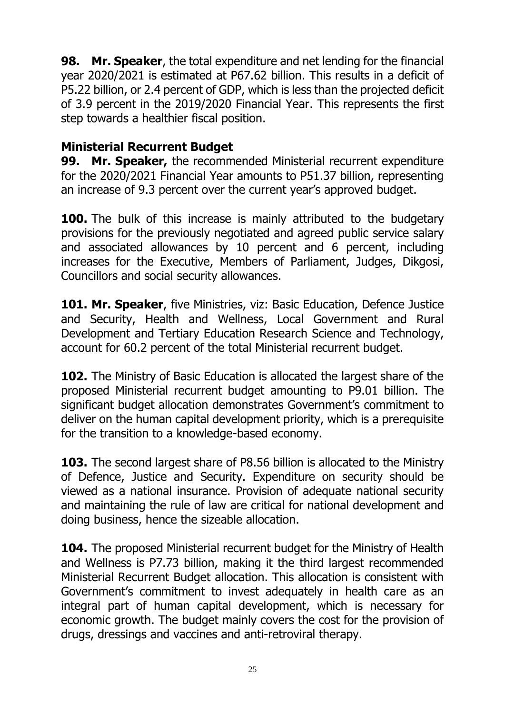**98. Mr. Speaker**, the total expenditure and net lending for the financial year 2020/2021 is estimated at P67.62 billion. This results in a deficit of P5.22 billion, or 2.4 percent of GDP, which is less than the projected deficit of 3.9 percent in the 2019/2020 Financial Year. This represents the first step towards a healthier fiscal position.

#### <span id="page-26-0"></span>**Ministerial Recurrent Budget**

**99. Mr. Speaker,** the recommended Ministerial recurrent expenditure for the 2020/2021 Financial Year amounts to P51.37 billion, representing an increase of 9.3 percent over the current year's approved budget.

**100.** The bulk of this increase is mainly attributed to the budgetary provisions for the previously negotiated and agreed public service salary and associated allowances by 10 percent and 6 percent, including increases for the Executive, Members of Parliament, Judges, Dikgosi, Councillors and social security allowances.

**101. Mr. Speaker**, five Ministries, viz: Basic Education, Defence Justice and Security, Health and Wellness, Local Government and Rural Development and Tertiary Education Research Science and Technology, account for 60.2 percent of the total Ministerial recurrent budget.

**102.** The Ministry of Basic Education is allocated the largest share of the proposed Ministerial recurrent budget amounting to P9.01 billion. The significant budget allocation demonstrates Government's commitment to deliver on the human capital development priority, which is a prerequisite for the transition to a knowledge-based economy.

**103.** The second largest share of P8.56 billion is allocated to the Ministry of Defence, Justice and Security. Expenditure on security should be viewed as a national insurance. Provision of adequate national security and maintaining the rule of law are critical for national development and doing business, hence the sizeable allocation.

**104.** The proposed Ministerial recurrent budget for the Ministry of Health and Wellness is P7.73 billion, making it the third largest recommended Ministerial Recurrent Budget allocation. This allocation is consistent with Government's commitment to invest adequately in health care as an integral part of human capital development, which is necessary for economic growth. The budget mainly covers the cost for the provision of drugs, dressings and vaccines and anti-retroviral therapy.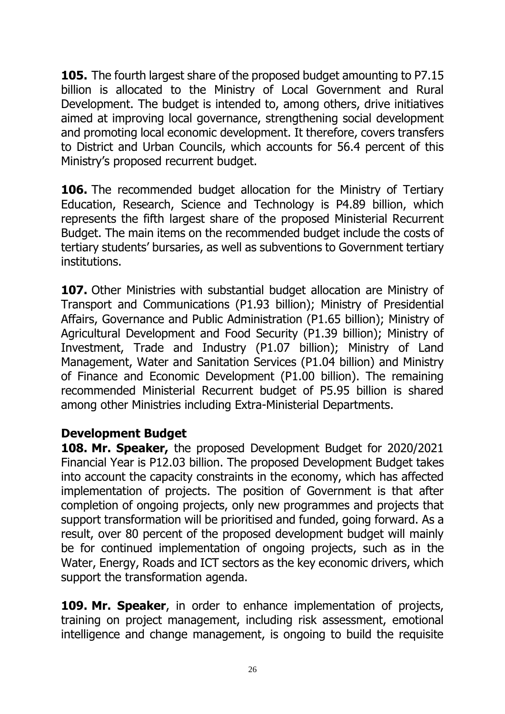**105.** The fourth largest share of the proposed budget amounting to P7.15 billion is allocated to the Ministry of Local Government and Rural Development. The budget is intended to, among others, drive initiatives aimed at improving local governance, strengthening social development and promoting local economic development. It therefore, covers transfers to District and Urban Councils, which accounts for 56.4 percent of this Ministry's proposed recurrent budget.

**106.** The recommended budget allocation for the Ministry of Tertiary Education, Research, Science and Technology is P4.89 billion, which represents the fifth largest share of the proposed Ministerial Recurrent Budget. The main items on the recommended budget include the costs of tertiary students' bursaries, as well as subventions to Government tertiary institutions.

**107.** Other Ministries with substantial budget allocation are Ministry of Transport and Communications (P1.93 billion); Ministry of Presidential Affairs, Governance and Public Administration (P1.65 billion); Ministry of Agricultural Development and Food Security (P1.39 billion); Ministry of Investment, Trade and Industry (P1.07 billion); Ministry of Land Management, Water and Sanitation Services (P1.04 billion) and Ministry of Finance and Economic Development (P1.00 billion). The remaining recommended Ministerial Recurrent budget of P5.95 billion is shared among other Ministries including Extra-Ministerial Departments.

#### <span id="page-27-0"></span>**Development Budget**

**108. Mr. Speaker,** the proposed Development Budget for 2020/2021 Financial Year is P12.03 billion. The proposed Development Budget takes into account the capacity constraints in the economy, which has affected implementation of projects. The position of Government is that after completion of ongoing projects, only new programmes and projects that support transformation will be prioritised and funded, going forward. As a result, over 80 percent of the proposed development budget will mainly be for continued implementation of ongoing projects, such as in the Water, Energy, Roads and ICT sectors as the key economic drivers, which support the transformation agenda.

**109. Mr. Speaker**, in order to enhance implementation of projects, training on project management, including risk assessment, emotional intelligence and change management, is ongoing to build the requisite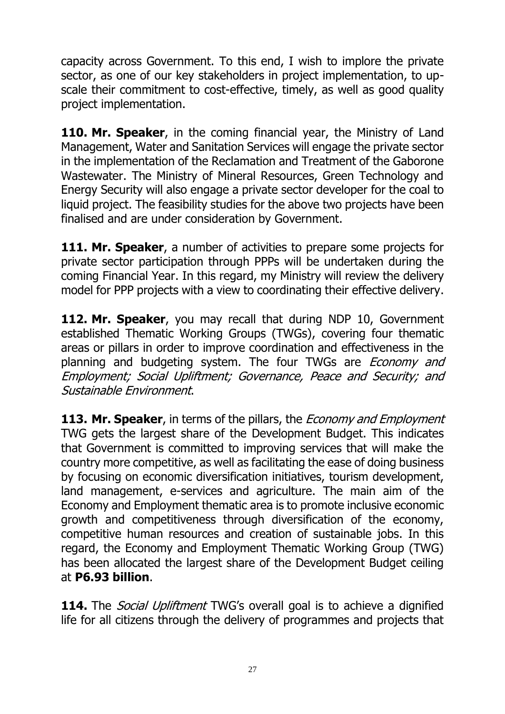capacity across Government. To this end, I wish to implore the private sector, as one of our key stakeholders in project implementation, to upscale their commitment to cost-effective, timely, as well as good quality project implementation.

**110. Mr. Speaker**, in the coming financial year, the Ministry of Land Management, Water and Sanitation Services will engage the private sector in the implementation of the Reclamation and Treatment of the Gaborone Wastewater. The Ministry of Mineral Resources, Green Technology and Energy Security will also engage a private sector developer for the coal to liquid project. The feasibility studies for the above two projects have been finalised and are under consideration by Government.

**111. Mr. Speaker**, a number of activities to prepare some projects for private sector participation through PPPs will be undertaken during the coming Financial Year. In this regard, my Ministry will review the delivery model for PPP projects with a view to coordinating their effective delivery.

**112. Mr. Speaker**, you may recall that during NDP 10, Government established Thematic Working Groups (TWGs), covering four thematic areas or pillars in order to improve coordination and effectiveness in the planning and budgeting system. The four TWGs are *Economy and* Employment; Social Upliftment; Governance, Peace and Security; and Sustainable Environment.

**113. Mr. Speaker**, in terms of the pillars, the Economy and Employment TWG gets the largest share of the Development Budget. This indicates that Government is committed to improving services that will make the country more competitive, as well as facilitating the ease of doing business by focusing on economic diversification initiatives, tourism development, land management, e-services and agriculture. The main aim of the Economy and Employment thematic area is to promote inclusive economic growth and competitiveness through diversification of the economy, competitive human resources and creation of sustainable jobs. In this regard, the Economy and Employment Thematic Working Group (TWG) has been allocated the largest share of the Development Budget ceiling at **P6.93 billion**.

**114.** The *Social Upliftment* TWG's overall goal is to achieve a dignified life for all citizens through the delivery of programmes and projects that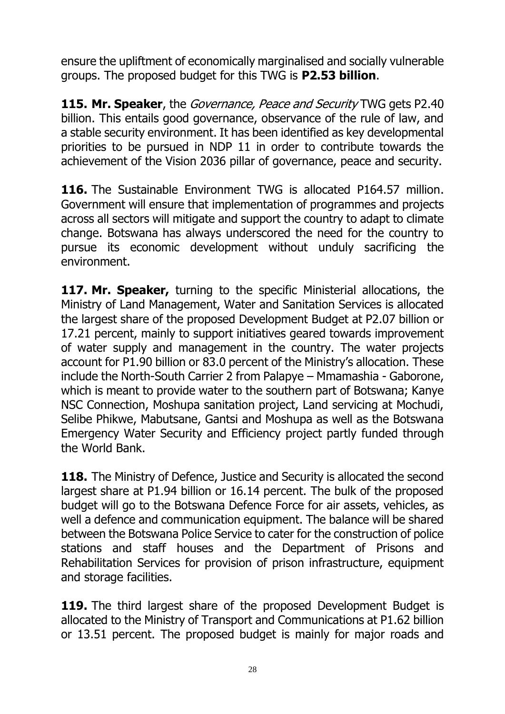ensure the upliftment of economically marginalised and socially vulnerable groups. The proposed budget for this TWG is **P2.53 billion**.

**115. Mr. Speaker**, the Governance, Peace and Security TWG gets P2.40 billion. This entails good governance, observance of the rule of law, and a stable security environment. It has been identified as key developmental priorities to be pursued in NDP 11 in order to contribute towards the achievement of the Vision 2036 pillar of governance, peace and security.

**116.** The Sustainable Environment TWG is allocated P164.57 million. Government will ensure that implementation of programmes and projects across all sectors will mitigate and support the country to adapt to climate change. Botswana has always underscored the need for the country to pursue its economic development without unduly sacrificing the environment.

**117. Mr. Speaker,** turning to the specific Ministerial allocations, the Ministry of Land Management, Water and Sanitation Services is allocated the largest share of the proposed Development Budget at P2.07 billion or 17.21 percent, mainly to support initiatives geared towards improvement of water supply and management in the country. The water projects account for P1.90 billion or 83.0 percent of the Ministry's allocation. These include the North-South Carrier 2 from Palapye – Mmamashia - Gaborone, which is meant to provide water to the southern part of Botswana; Kanye NSC Connection, Moshupa sanitation project, Land servicing at Mochudi, Selibe Phikwe, Mabutsane, Gantsi and Moshupa as well as the Botswana Emergency Water Security and Efficiency project partly funded through the World Bank.

**118.** The Ministry of Defence, Justice and Security is allocated the second largest share at P1.94 billion or 16.14 percent. The bulk of the proposed budget will go to the Botswana Defence Force for air assets, vehicles, as well a defence and communication equipment. The balance will be shared between the Botswana Police Service to cater for the construction of police stations and staff houses and the Department of Prisons and Rehabilitation Services for provision of prison infrastructure, equipment and storage facilities.

119. The third largest share of the proposed Development Budget is allocated to the Ministry of Transport and Communications at P1.62 billion or 13.51 percent. The proposed budget is mainly for major roads and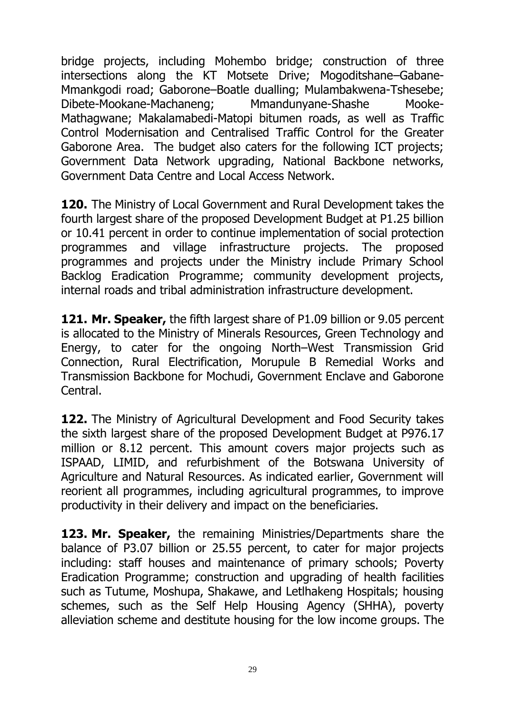bridge projects, including Mohembo bridge; construction of three intersections along the KT Motsete Drive; Mogoditshane–Gabane-Mmankgodi road; Gaborone–Boatle dualling; Mulambakwena-Tshesebe; Dibete-Mookane-Machaneng; Mmandunyane-Shashe Mooke-Mathagwane; Makalamabedi-Matopi bitumen roads, as well as Traffic Control Modernisation and Centralised Traffic Control for the Greater Gaborone Area. The budget also caters for the following ICT projects; Government Data Network upgrading, National Backbone networks, Government Data Centre and Local Access Network.

**120.** The Ministry of Local Government and Rural Development takes the fourth largest share of the proposed Development Budget at P1.25 billion or 10.41 percent in order to continue implementation of social protection programmes and village infrastructure projects. The proposed programmes and projects under the Ministry include Primary School Backlog Eradication Programme; community development projects, internal roads and tribal administration infrastructure development.

**121. Mr. Speaker,** the fifth largest share of P1.09 billion or 9.05 percent is allocated to the Ministry of Minerals Resources, Green Technology and Energy, to cater for the ongoing North–West Transmission Grid Connection, Rural Electrification, Morupule B Remedial Works and Transmission Backbone for Mochudi, Government Enclave and Gaborone Central.

**122.** The Ministry of Agricultural Development and Food Security takes the sixth largest share of the proposed Development Budget at P976.17 million or 8.12 percent. This amount covers major projects such as ISPAAD, LIMID, and refurbishment of the Botswana University of Agriculture and Natural Resources. As indicated earlier, Government will reorient all programmes, including agricultural programmes, to improve productivity in their delivery and impact on the beneficiaries.

**123. Mr. Speaker,** the remaining Ministries/Departments share the balance of P3.07 billion or 25.55 percent, to cater for major projects including: staff houses and maintenance of primary schools; Poverty Eradication Programme; construction and upgrading of health facilities such as Tutume, Moshupa, Shakawe, and Letlhakeng Hospitals; housing schemes, such as the Self Help Housing Agency (SHHA), poverty alleviation scheme and destitute housing for the low income groups. The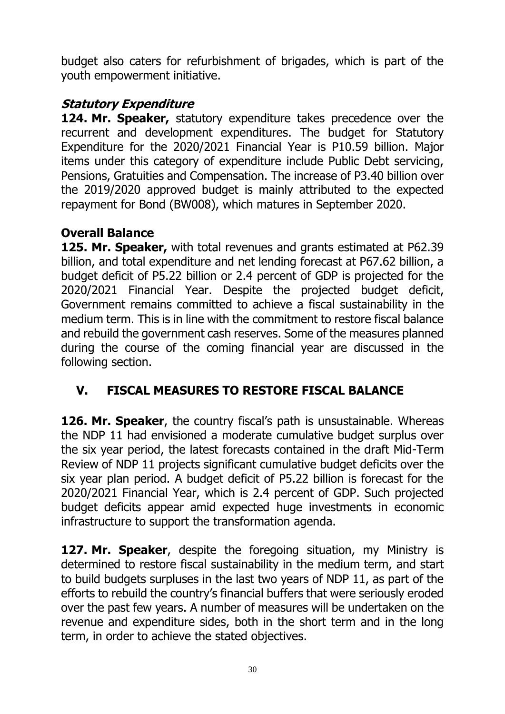budget also caters for refurbishment of brigades, which is part of the youth empowerment initiative.

## **Statutory Expenditure**

**124. Mr. Speaker,** statutory expenditure takes precedence over the recurrent and development expenditures. The budget for Statutory Expenditure for the 2020/2021 Financial Year is P10.59 billion. Major items under this category of expenditure include Public Debt servicing, Pensions, Gratuities and Compensation. The increase of P3.40 billion over the 2019/2020 approved budget is mainly attributed to the expected repayment for Bond (BW008), which matures in September 2020.

### <span id="page-31-0"></span>**Overall Balance**

**125. Mr. Speaker,** with total revenues and grants estimated at P62.39 billion, and total expenditure and net lending forecast at P67.62 billion, a budget deficit of P5.22 billion or 2.4 percent of GDP is projected for the 2020/2021 Financial Year. Despite the projected budget deficit, Government remains committed to achieve a fiscal sustainability in the medium term. This is in line with the commitment to restore fiscal balance and rebuild the government cash reserves. Some of the measures planned during the course of the coming financial year are discussed in the following section.

## <span id="page-31-1"></span>**V. FISCAL MEASURES TO RESTORE FISCAL BALANCE**

**126. Mr. Speaker**, the country fiscal's path is unsustainable. Whereas the NDP 11 had envisioned a moderate cumulative budget surplus over the six year period, the latest forecasts contained in the draft Mid-Term Review of NDP 11 projects significant cumulative budget deficits over the six year plan period. A budget deficit of P5.22 billion is forecast for the 2020/2021 Financial Year, which is 2.4 percent of GDP. Such projected budget deficits appear amid expected huge investments in economic infrastructure to support the transformation agenda.

**127. Mr. Speaker**, despite the foregoing situation, my Ministry is determined to restore fiscal sustainability in the medium term, and start to build budgets surpluses in the last two years of NDP 11, as part of the efforts to rebuild the country's financial buffers that were seriously eroded over the past few years. A number of measures will be undertaken on the revenue and expenditure sides, both in the short term and in the long term, in order to achieve the stated objectives.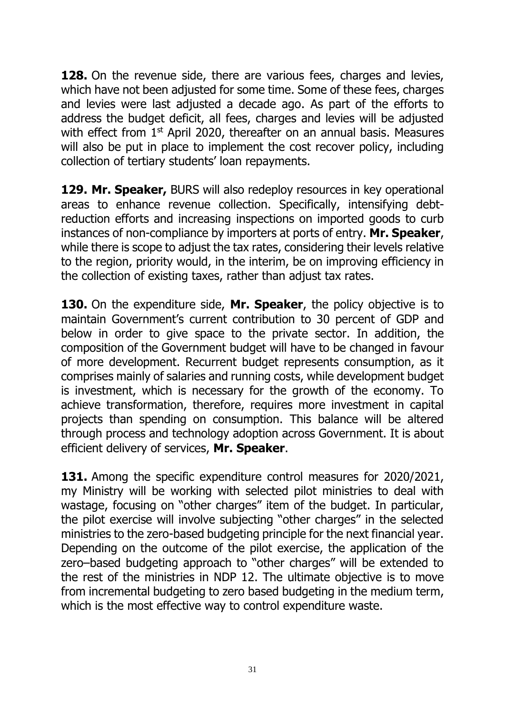**128.** On the revenue side, there are various fees, charges and levies, which have not been adjusted for some time. Some of these fees, charges and levies were last adjusted a decade ago. As part of the efforts to address the budget deficit, all fees, charges and levies will be adjusted with effect from 1<sup>st</sup> April 2020, thereafter on an annual basis. Measures will also be put in place to implement the cost recover policy, including collection of tertiary students' loan repayments.

**129. Mr. Speaker,** BURS will also redeploy resources in key operational areas to enhance revenue collection. Specifically, intensifying debtreduction efforts and increasing inspections on imported goods to curb instances of non-compliance by importers at ports of entry. **Mr. Speaker**, while there is scope to adjust the tax rates, considering their levels relative to the region, priority would, in the interim, be on improving efficiency in the collection of existing taxes, rather than adjust tax rates.

**130.** On the expenditure side, **Mr. Speaker**, the policy objective is to maintain Government's current contribution to 30 percent of GDP and below in order to give space to the private sector. In addition, the composition of the Government budget will have to be changed in favour of more development. Recurrent budget represents consumption, as it comprises mainly of salaries and running costs, while development budget is investment, which is necessary for the growth of the economy. To achieve transformation, therefore, requires more investment in capital projects than spending on consumption. This balance will be altered through process and technology adoption across Government. It is about efficient delivery of services, **Mr. Speaker**.

**131.** Among the specific expenditure control measures for 2020/2021, my Ministry will be working with selected pilot ministries to deal with wastage, focusing on "other charges" item of the budget. In particular, the pilot exercise will involve subjecting "other charges" in the selected ministries to the zero-based budgeting principle for the next financial year. Depending on the outcome of the pilot exercise, the application of the zero–based budgeting approach to "other charges" will be extended to the rest of the ministries in NDP 12. The ultimate objective is to move from incremental budgeting to zero based budgeting in the medium term, which is the most effective way to control expenditure waste.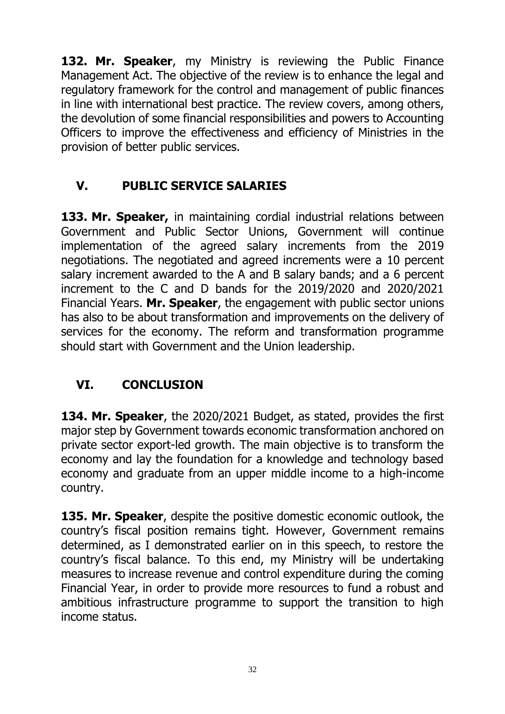**132. Mr. Speaker**, my Ministry is reviewing the Public Finance Management Act. The objective of the review is to enhance the legal and regulatory framework for the control and management of public finances in line with international best practice. The review covers, among others, the devolution of some financial responsibilities and powers to Accounting Officers to improve the effectiveness and efficiency of Ministries in the provision of better public services.

## <span id="page-33-0"></span>**V. PUBLIC SERVICE SALARIES**

**133. Mr. Speaker,** in maintaining cordial industrial relations between Government and Public Sector Unions, Government will continue implementation of the agreed salary increments from the 2019 negotiations. The negotiated and agreed increments were a 10 percent salary increment awarded to the A and B salary bands; and a 6 percent increment to the C and D bands for the 2019/2020 and 2020/2021 Financial Years. **Mr. Speaker**, the engagement with public sector unions has also to be about transformation and improvements on the delivery of services for the economy. The reform and transformation programme should start with Government and the Union leadership.

# <span id="page-33-1"></span>**VI. CONCLUSION**

**134. Mr. Speaker**, the 2020/2021 Budget, as stated, provides the first major step by Government towards economic transformation anchored on private sector export-led growth. The main objective is to transform the economy and lay the foundation for a knowledge and technology based economy and graduate from an upper middle income to a high-income country.

**135. Mr. Speaker**, despite the positive domestic economic outlook, the country's fiscal position remains tight. However, Government remains determined, as I demonstrated earlier on in this speech, to restore the country's fiscal balance. To this end, my Ministry will be undertaking measures to increase revenue and control expenditure during the coming Financial Year, in order to provide more resources to fund a robust and ambitious infrastructure programme to support the transition to high income status.